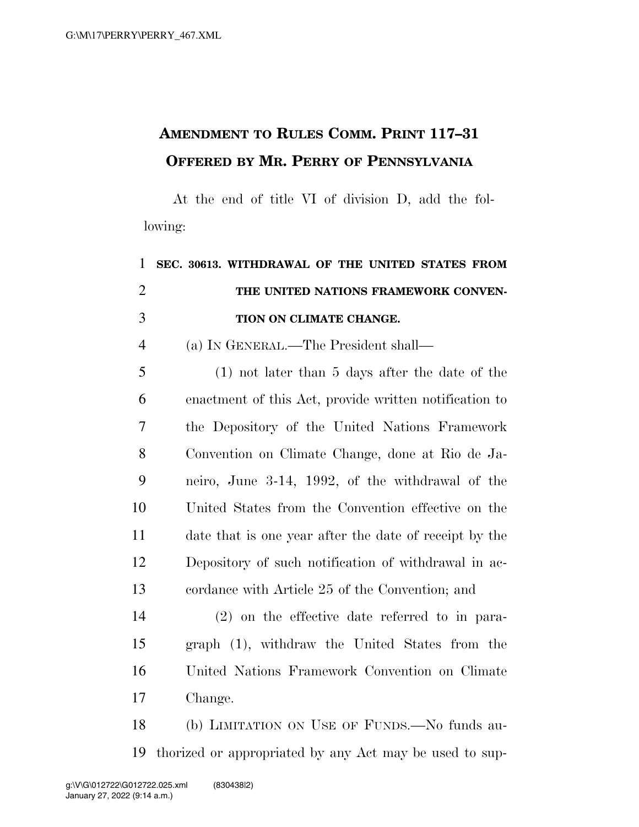## **AMENDMENT TO RULES COMM. PRINT 117–31 OFFERED BY MR. PERRY OF PENNSYLVANIA**

At the end of title VI of division D, add the following:

| $\mathbf{1}$   | SEC. 30613. WITHDRAWAL OF THE UNITED STATES FROM       |
|----------------|--------------------------------------------------------|
| $\overline{2}$ | THE UNITED NATIONS FRAMEWORK CONVEN-                   |
| 3              | TION ON CLIMATE CHANGE.                                |
| $\overline{4}$ | (a) IN GENERAL.—The President shall—                   |
| 5              | $(1)$ not later than 5 days after the date of the      |
| 6              | enactment of this Act, provide written notification to |
| $\overline{7}$ | the Depository of the United Nations Framework         |
| 8              | Convention on Climate Change, done at Rio de Ja-       |
| 9              | neiro, June 3-14, 1992, of the withdrawal of the       |
| 10             | United States from the Convention effective on the     |
| 11             | date that is one year after the date of receipt by the |
| 12             | Depository of such notification of withdrawal in ac-   |
| 13             | cordance with Article 25 of the Convention; and        |
| 14             | $(2)$ on the effective date referred to in para-       |
| 15             | graph (1), withdraw the United States from the         |
| 16             | United Nations Framework Convention on Climate         |
| 17             | Change.                                                |
| 18             | (b) LIMITATION ON USE OF FUNDS.—No funds au-           |

thorized or appropriated by any Act may be used to sup-